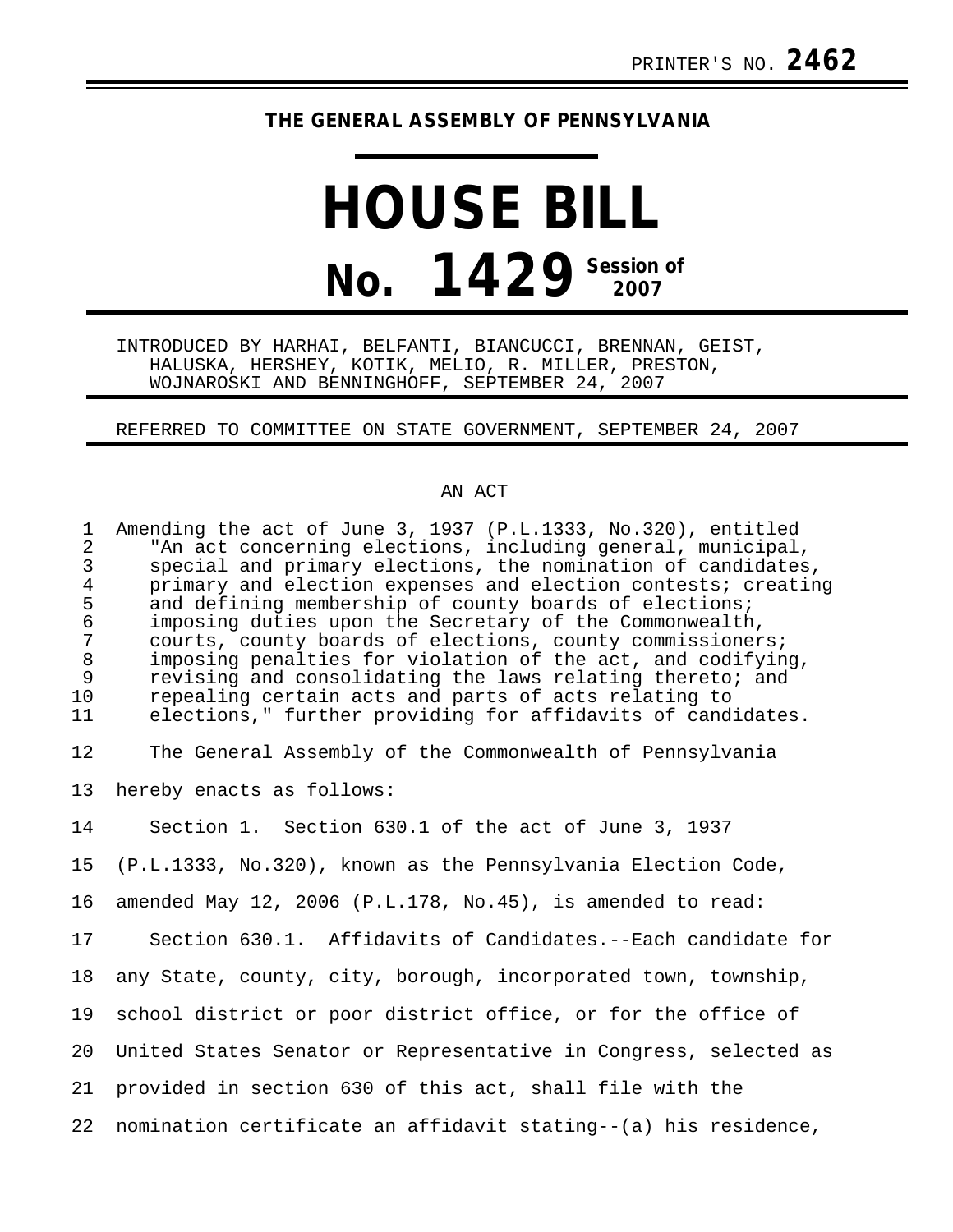## **THE GENERAL ASSEMBLY OF PENNSYLVANIA**

## **HOUSE BILL No. 1429** Session of

INTRODUCED BY HARHAI, BELFANTI, BIANCUCCI, BRENNAN, GEIST, HALUSKA, HERSHEY, KOTIK, MELIO, R. MILLER, PRESTON, WOJNAROSKI AND BENNINGHOFF, SEPTEMBER 24, 2007

REFERRED TO COMMITTEE ON STATE GOVERNMENT, SEPTEMBER 24, 2007

## AN ACT

| $\mathbf{1}$<br>2<br>$\mathsf{3}$<br>$\overline{4}$<br>5<br>$\frac{6}{7}$<br>$8\phantom{1}$<br>$\overline{9}$<br>10<br>11 | Amending the act of June 3, 1937 (P.L.1333, No.320), entitled<br>"An act concerning elections, including general, municipal,<br>special and primary elections, the nomination of candidates,<br>primary and election expenses and election contests; creating<br>and defining membership of county boards of elections;<br>imposing duties upon the Secretary of the Commonwealth,<br>courts, county boards of elections, county commissioners;<br>imposing penalties for violation of the act, and codifying,<br>revising and consolidating the laws relating thereto; and<br>repealing certain acts and parts of acts relating to<br>elections," further providing for affidavits of candidates. |
|---------------------------------------------------------------------------------------------------------------------------|----------------------------------------------------------------------------------------------------------------------------------------------------------------------------------------------------------------------------------------------------------------------------------------------------------------------------------------------------------------------------------------------------------------------------------------------------------------------------------------------------------------------------------------------------------------------------------------------------------------------------------------------------------------------------------------------------|
| 12                                                                                                                        | The General Assembly of the Commonwealth of Pennsylvania                                                                                                                                                                                                                                                                                                                                                                                                                                                                                                                                                                                                                                           |
| 13                                                                                                                        | hereby enacts as follows:                                                                                                                                                                                                                                                                                                                                                                                                                                                                                                                                                                                                                                                                          |
| 14                                                                                                                        | Section 1. Section 630.1 of the act of June 3, 1937                                                                                                                                                                                                                                                                                                                                                                                                                                                                                                                                                                                                                                                |
| 15 <sub>1</sub>                                                                                                           | (P.L.1333, No.320), known as the Pennsylvania Election Code,                                                                                                                                                                                                                                                                                                                                                                                                                                                                                                                                                                                                                                       |
| 16                                                                                                                        | amended May 12, 2006 (P.L.178, No.45), is amended to read:                                                                                                                                                                                                                                                                                                                                                                                                                                                                                                                                                                                                                                         |
| 17                                                                                                                        | Section 630.1. Affidavits of Candidates.--Each candidate for                                                                                                                                                                                                                                                                                                                                                                                                                                                                                                                                                                                                                                       |
| 18                                                                                                                        | any State, county, city, borough, incorporated town, township,                                                                                                                                                                                                                                                                                                                                                                                                                                                                                                                                                                                                                                     |
| 19                                                                                                                        | school district or poor district office, or for the office of                                                                                                                                                                                                                                                                                                                                                                                                                                                                                                                                                                                                                                      |
| 20                                                                                                                        | United States Senator or Representative in Congress, selected as                                                                                                                                                                                                                                                                                                                                                                                                                                                                                                                                                                                                                                   |
| 21                                                                                                                        | provided in section 630 of this act, shall file with the                                                                                                                                                                                                                                                                                                                                                                                                                                                                                                                                                                                                                                           |
| 22                                                                                                                        | nomination certificate an affidavit stating--(a) his residence,                                                                                                                                                                                                                                                                                                                                                                                                                                                                                                                                                                                                                                    |